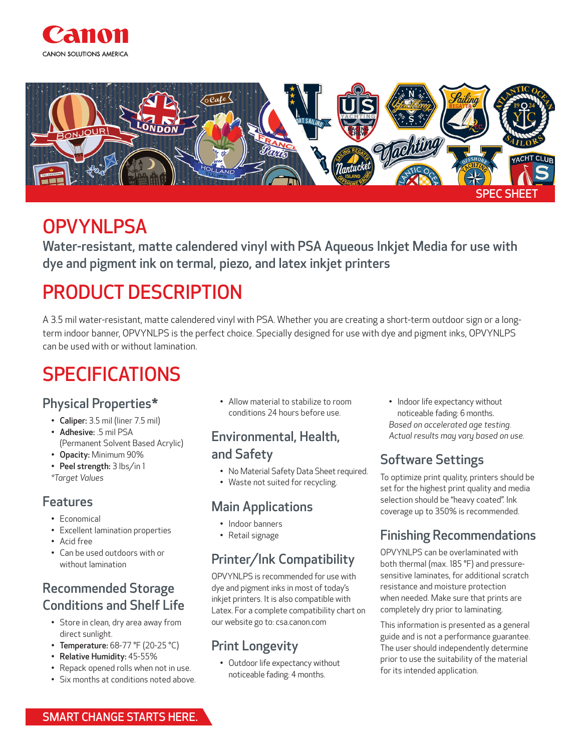



# **OPVYNLPSA**

Water-resistant, matte calendered vinyl with PSA Aqueous Inkjet Media for use with dye and pigment ink on termal, piezo, and latex inkjet printers

# PRODUCT DESCRIPTION

A 3.5 mil water-resistant, matte calendered vinyl with PSA. Whether you are creating a short-term outdoor sign or a longterm indoor banner, OPVYNLPS is the perfect choice. Specially designed for use with dye and pigment inks, OPVYNLPS can be used with or without lamination.

# SPECIFICATIONS

### Physical Properties\*

- Caliper: 3.5 mil (liner 7.5 mil)
- Adhesive: .5 mil PSA
- (Permanent Solvent Based Acrylic) • Opacity: Minimum 90%
- Peel strength: 3 lbs/in 1
- *\*Target Values*

#### Features

- Economical
- Excellent lamination properties
- Acid free
- Can be used outdoors with or without lamination

### Recommended Storage Conditions and Shelf Life

- Store in clean, dry area away from direct sunlight.
- Temperature: 68-77 °F (20-25 °C)
- Relative Humidity: 45-55%
- Repack opened rolls when not in use.
- Six months at conditions noted above.

• Allow material to stabilize to room conditions 24 hours before use.

### Environmental, Health, and Safety

- No Material Safety Data Sheet required.
- Waste not suited for recycling.

### Main Applications

- Indoor banners
- Retail signage

## Printer/Ink Compatibility

OPVYNLPS is recommended for use with dye and pigment inks in most of today's inkjet printers. It is also compatible with Latex. For a complete compatibility chart on our website go to: csa.canon.com

## Print Longevity

• Outdoor life expectancy without noticeable fading: 4 months.

• Indoor life expectancy without noticeable fading: 6 months. *Based on accelerated age testing. Actual results may vary based on use.* 

## Software Settings

To optimize print quality, printers should be set for the highest print quality and media selection should be "heavy coated". Ink coverage up to 350% is recommended.

## Finishing Recommendations

OPVYNLPS can be overlaminated with both thermal (max. 185 °F) and pressuresensitive laminates, for additional scratch resistance and moisture protection when needed. Make sure that prints are completely dry prior to laminating.

This information is presented as a general guide and is not a performance guarantee. The user should independently determine prior to use the suitability of the material for its intended application.